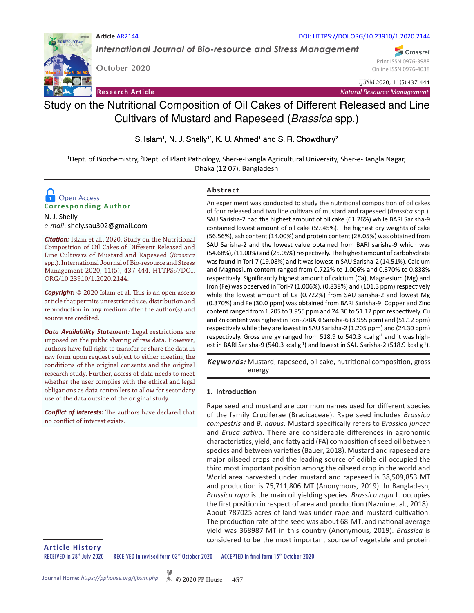

*International Journal of Bio-resource and Stress Management*

**October 2020**

**Article** AR2144

Print ISSN 0976-3988 Online ISSN 0976-4038

Crossref

*IJBSM* 2020, 11(5):437-444

**Research Article** *Natural Resource Management*

# Study on the Nutritional Composition of Oil Cakes of Different Released and Line Cultivars of Mustard and Rapeseed (*Brassica* spp.)

S. Islam<sup>1</sup>, N. J. Shelly<sup>1\*</sup>, K. U. Ahmed<sup>1</sup> and S. R. Chowdhury<sup>2</sup>

<sup>1</sup>Dept. of Biochemistry, <sup>2</sup>Dept. of Plant Pathology, Sher-e-Bangla Agricultural University, Sher-e-Bangla Nagar, Dhaka (12 07), Bangladesh

## **Corresponding Author D** Open Access

N. J. Shelly *e-mail*: shely.sau302@gmail.com

*Citation:* Islam et al., 2020. Study on the Nutritional Composition of Oil Cakes of Different Released and Line Cultivars of Mustard and Rapeseed (*Brassica* spp.). International Journal of Bio-resource and Stress Management 2020, 11(5), 437-444. HTTPS://DOI. ORG/10.23910/1.2020.2144.

*Copyright:* © 2020 Islam et al. This is an open access article that permits unrestricted use, distribution and reproduction in any medium after the author(s) and source are credited.

*Data Availability Statement:* Legal restrictions are imposed on the public sharing of raw data. However, authors have full right to transfer or share the data in raw form upon request subject to either meeting the conditions of the original consents and the original research study. Further, access of data needs to meet whether the user complies with the ethical and legal obligations as data controllers to allow for secondary use of the data outside of the original study.

*Conflict of interests:* The authors have declared that no conflict of interest exists.

## **Abstract**

An experiment was conducted to study the nutritional composition of oil cakes of four released and two line cultivars of mustard and rapeseed (*Brassica* spp.). SAU Sarisha-2 had the highest amount of oil cake (61.26%) while BARI Sarisha-9 contained lowest amount of oil cake (59.45%). The highest dry weights of cake (56.56%), ash content (14.00%) and protein content (28.05%) was obtained from SAU Sarisha-2 and the lowest value obtained from BARI sarisha-9 which was (54.68%), (11.00%) and (25.05%) respectively. The highest amount of carbohydrate was found in Tori-7 (19.08%) and it was lowest in SAU Sarisha-2 (14.51%). Calcium and Magnesium content ranged from 0.722% to 1.006% and 0.370% to 0.838% respectively. Significantly highest amount of calcium (Ca), Magnesium (Mg) and Iron (Fe) was observed in Tori-7 (1.006%), (0.838%) and (101.3 ppm) respectively while the lowest amount of Ca (0.722%) from SAU sarisha-2 and lowest Mg (0.370%) and Fe (30.0 ppm) was obtained from BARI Sarisha-9. Copper and Zinc content ranged from 1.205 to 3.955 ppm and 24.30 to 51.12 ppm respectively. Cu and Zn content was highest in Tori-7×BARI Sarisha-6 (3.955 ppm) and (51.12 ppm) respectively while they are lowest in SAU Sarisha-2 (1.205 ppm) and (24.30 ppm) respectively. Gross energy ranged from 518.9 to 540.3 kcal  $g<sup>-1</sup>$  and it was highest in BARI Sarisha-9 (540.3 kcal  $g^{-1}$ ) and lowest in SAU Sarisha-2 (518.9 kcal  $g^{-1}$ ).

Keywords: Mustard, rapeseed, oil cake, nutritional composition, gross energy

## **1. Introduction**

Rape seed and mustard are common names used for different species of the family Cruciferae (Bracicaceae). Rape seed includes *Brassica compestris* and *B. napus*. Mustard specifically refers to *Brassica juncea* and *Eruca sativa*. There are considerable differences in agronomic characteristics, yield, and fatty acid (FA) composition of seed oil between species and between varieties (Bauer, 2018). Mustard and rapeseed are major oilseed crops and the leading source of edible oil occupied the third most important position among the oilseed crop in the world and World area harvested under mustard and rapeseed is 38,509,853 MT and production is 75,711,806 MT (Anonymous, 2019). In Bangladesh, *Brassica rapa* is the main oil yielding species. *Brassica rapa* L. occupies the first position in respect of area and production (Naznin et al., 2018). About 787025 acres of land was under rape and mustard cultivation. The production rate of the seed was about 68 MT, and national average yield was 368987 MT in this country (Anonymous, 2019). *Brassica* is considered to be the most important source of vegetable and protein

**Article History**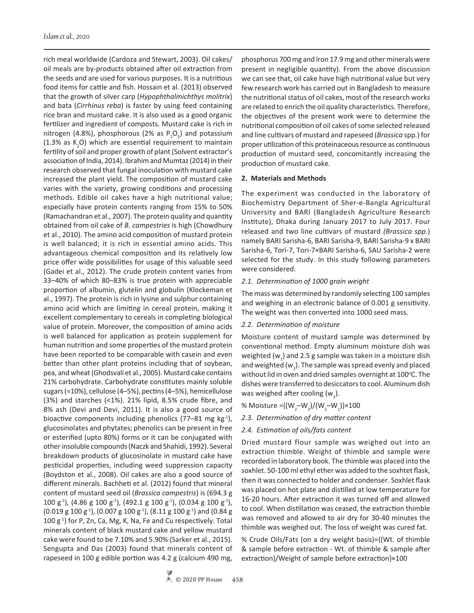rich meal worldwide (Cardoza and Stewart, 2003). Oil cakes/ oil meals are by-products obtained after oil extraction from the seeds and are used for various purposes. It is a nutritious food items for cattle and fish. Hossain et al. (2013) observed that the growth of silver carp (*Hypophthalmichthys molitrix*) and bata (*Cirrhinus reba*) is faster by using feed containing rice bran and mustard cake. It is also used as a good organic fertilizer and ingredient of composts. Mustard cake is rich in nitrogen (4.8%), phosphorous (2% as  $P_2O_5$ ) and potassium (1.3% as  $K_2O$ ) which are essential requirement to maintain fertility of soil and proper growth of plant (Solvent extractor's association of India, 2014). Ibrahim and Mumtaz (2014) in their research observed that fungal inoculation with mustard cake increased the plant yield. The composition of mustard cake varies with the variety, growing conditions and processing methods. Edible oil cakes have a high nutritional value; especially have protein contents ranging from 15% to 50% (Ramachandran et al., 2007). The protein quality and quantity obtained from oil cake of *B. campestries* is high (Chowdhury et al., 2010). The amino acid composition of mustard protein is well balanced; it is rich in essential amino acids. This advantageous chemical composition and its relatively low price offer wide possibilities for usage of this valuable seed (Gadei et al., 2012). The crude protein content varies from 33–40% of which 80–83% is true protein with appreciable proportion of albumin, glutelin and globulin (Klockeman et al., 1997). The protein is rich in lysine and sulphur containing amino acid which are limiting in cereal protein, making it excellent complementary to cereals in completing biological value of protein. Moreover, the composition of amino acids is well balanced for application as protein supplement for human nutrition and some properties of the mustard protein have been reported to be comparable with casein and even better than other plant proteins including that of soybean, pea, and wheat (Ghodsvali et al., 2005). Mustard cake contains 21% carbohydrate. Carbohydrate constitutes mainly soluble sugars (≈10%), cellulose (4–5%), pectins (4–5%), hemicellulose (3%) and starches (<1%). 21% lipid, 8.5% crude fibre, and 8% ash (Devi and Devi, 2011). It is also a good source of bioactive components including phenolics (77–81 mg kg<sup>-1</sup>), glucosinolates and phytates; phenolics can be present in free or esterified (upto 80%) forms or it can be conjugated with other insoluble compounds (Naczk and Shahidi, 1992). Several breakdown products of glucosinolate in mustard cake have pesticidal properties, including weed suppression capacity (Boydston et al., 2008). Oil cakes are also a good source of different minerals. Bachheti et al. (2012) found that mineral content of mustard seed oil (*Brassica campestris*) is (694.3 g 100 g<sup>-1</sup>), (4.86 g 100 g<sup>-1</sup>), (492.1 g 100 g<sup>-1</sup>), (0.034 g 100 g<sup>-1</sup>),  $(0.019 \text{ g } 100 \text{ g}^{-1})$ ,  $(0.007 \text{ g } 100 \text{ g}^{-1})$ ,  $(8.11 \text{ g } 100 \text{ g}^{-1})$  and  $(0.84 \text{ g } 100 \text{ g}^{-1})$  $100 g<sup>-1</sup>$ ) for P, Zn, Ca, Mg, K, Na, Fe and Cu respectively. Total minerals content of black mustard cake and yellow mustard cake were found to be 7.10% and 5.90% (Sarker et al., 2015). Sengupta and Das (2003) found that minerals content of rapeseed in 100 g edible portion was 4.2 g (calcium 490 mg,

phosphorus 700 mg and Iron 17.9 mg and other minerals were present in negligible quantity). From the above discussion we can see that, oil cake have high nutritional value but very few research work has carried out in Bangladesh to measure the nutritional status of oil cakes, most of the research works are related to enrich the oil quality characteristics. Therefore, the objectives of the present work were to determine the nutritional composition of oil cakes of some selected released and line cultivars of mustard and rapeseed (*Brassica* spp*.*) for proper utilization of this proteinaceous resource as continuous production of mustard seed, concomitantly increasing the production of mustard cake.

#### **2. Materials and Methods**

The experiment was conducted in the laboratory of Biochemistry Department of Sher-e-Bangla Agricultural University and BARI (Bangladesh Agriculture Research Institute), Dhaka during January 2017 to July 2017. Four released and two line cultivars of mustard *(Brassica spp.*) namely BARI Sarisha-6, BARI Sarisha-9, BARI Sarisha-9 x BARI Sarisha-6, Tori-7, Tori-7×BARI Sarisha-6, SAU Sarisha-2 were selected for the study. In this study following parameters were considered.

## *2.1. Determination of 1000 grain weight*

The mass was determined by randomly selecting 100 samples and weighing in an electronic balance of 0.001 g sensitivity. The weight was then converted into 1000 seed mass.

## *2.2. Determination of moisture*

Moisture content of mustard sample was determined by conventional method. Empty aluminum moisture dish was weighted ( $w_{1}$ ) and 2.5 g sample was taken in a moisture dish and weighted (w<sub>2</sub>). The sample was spread evenly and placed without lid in oven and dried samples overnight at 100°C. The dishes were transferred to desiccators to cool. Aluminum dish was weighed after cooling ( $w_{3}$ ).

- % Moisture ={ $(W_2-W_3)/(W_2-W_1)$ }×100
- *2.3. Determination of dry matter content*
- *2.4. Estimation of oils/fats content*

Dried mustard flour sample was weighed out into an extraction thimble. Weight of thimble and sample were recorded in laboratory book. The thimble was placed into the soxhlet. 50-100 ml ethyl ether was added to the soxhtet flask, then it was connected to holder and condenser. Soxhlet flask was placed on hot plate and distilled at low temperature for 16-20 hours. After extraction it was turned off and allowed to cool. When distillation was ceased, the extraction thimble was removed and allowed to air dry for 30-40 minutes the thimble was weighed out. The loss of weight was cured fat.

% Crude Oils/Fats (on a dry weight basis)={(Wt. of thimble & sample before extraction - Wt. of thimble & sample after extraction)/Weight of sample before extraction}×100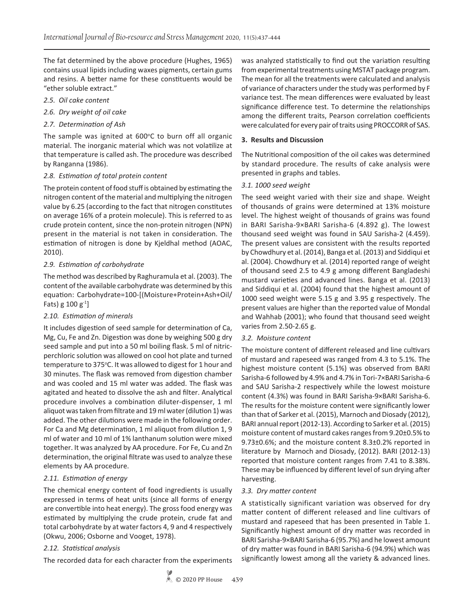The fat determined by the above procedure (Hughes, 1965) contains usual lipids including waxes pigments, certain gums and resins. A better name for these constituents would be "ether soluble extract."

- *2.5. Oil cake content*
- *2.6. Dry weight of oil cake*
- *2.7. Determination of Ash*

The sample was ignited at  $600^{\circ}$ C to burn off all organic material. The inorganic material which was not volatilize at that temperature is called ash. The procedure was described by Ranganna (1986).

#### *2.8. Estimation of total protein content*

The protein content of food stuff is obtained by estimating the nitrogen content of the material and multiplying the nitrogen value by 6.25 (according to the fact that nitrogen constitutes on average 16% of a protein molecule). This is referred to as crude protein content, since the non-protein nitrogen (NPN) present in the material is not taken in consideration. The estimation of nitrogen is done by Kjeldhal method (AOAC, 2010).

#### *2.9. Estimation of carbohydrate*

The method was described by Raghuramula et al. (2003). The content of the available carbohydrate was determined by this equation: Carbohydrate=100-[(Moisture+Protein+Ash+Oil/ Fats) g  $100 g^{-1}$ 

## *2.10. Estimation of minerals*

It includes digestion of seed sample for determination of Ca, Mg, Cu, Fe and Zn. Digestion was done by weighing 500 g dry seed sample and put into a 50 ml boiling flask. 5 ml of nitricperchloric solution was allowed on cool hot plate and turned temperature to 375°C. It was allowed to digest for 1 hour and 30 minutes. The flask was removed from digestion chamber and was cooled and 15 ml water was added. The flask was agitated and heated to dissolve the ash and filter. Analytical procedure involves a combination diluter-dispenser, 1 ml aliquot was taken from filtrate and 19 ml water (dilution 1) was added. The other dilutions were made in the following order. For Ca and Mg determination, 1 ml aliquot from dilution 1, 9 ml of water and 10 ml of 1% lanthanum solution were mixed together. It was analyzed by AA procedure. For Fe, Cu and Zn determination, the original filtrate was used to analyze these elements by AA procedure.

## *2.11. Estimation of energy*

The chemical energy content of food ingredients is usually expressed in terms of heat units (since all forms of energy are convertible into heat energy). The gross food energy was estimated by multiplying the crude protein, crude fat and total carbohydrate by at water factors 4, 9 and 4 respectively (Okwu, 2006; Osborne and Vooget, 1978).

## *2.12. Statistical analysis*

The recorded data for each character from the experiments

was analyzed statistically to find out the variation resulting from experimental treatments using MSTAT package program. The mean for all the treatments were calculated and analysis of variance of characters under the study was performed by F variance test. The mean differences were evaluated by least significance difference test. To determine the relationships among the different traits, Pearson correlation coefficients were calculated for every pair of traits using PROCCORR of SAS.

## **3. Results and Discussion**

The Nutritional composition of the oil cakes was determined by standard procedure. The results of cake analysis were presented in graphs and tables.

#### *3.1. 1000 seed weight*

The seed weight varied with their size and shape. Weight of thousands of grains were determined at 13% moisture level. The highest weight of thousands of grains was found in BARI Sarisha-9×BARI Sarisha-6 (4.892 g). The lowest thousand seed weight was found in SAU Sarisha-2 (4.459). The present values are consistent with the results reported by Chowdhury et al. (2014), Banga et al. (2013) and Siddiqui et al. (2004). Chowdhury et al. (2014) reported range of weight of thousand seed 2.5 to 4.9 g among different Bangladeshi mustard varieties and advanced lines. Banga et al. (2013) and Siddiqui et al. (2004) found that the highest amount of 1000 seed weight were 5.15 g and 3.95 g respectively. The present values are higher than the reported value of Mondal and Wahhab (2001); who found that thousand seed weight varies from 2.50-2.65 g.

#### *3.2. Moisture content*

The moisture content of different released and line cultivars of mustard and rapeseed was ranged from 4.3 to 5.1%. The highest moisture content (5.1%) was observed from BARI Sarisha-6 followed by 4.9% and 4.7% in Tori-7×BARI Sarisha-6 and SAU Sarisha-2 respectively while the lowest moisture content (4.3%) was found in BARI Sarisha-9×BARI Sarisha-6. The results for the moisture content were significantly lower than that of Sarker et al. (2015), Marnoch and Diosady (2012), BARI annual report (2012-13). According to Sarker et al. (2015) moisture content of mustard cakes ranges from 9.20±0.5% to 9.73±0.6%; and the moisture content 8.3±0.2% reported in literature by Marnoch and Diosady, (2012). BARI (2012-13) reported that moisture content ranges from 7.41 to 8.38%. These may be influenced by different level of sun drying after harvesting.

#### *3.3. Dry matter content*

A statistically significant variation was observed for dry matter content of different released and line cultivars of mustard and rapeseed that has been presented in Table 1. Significantly highest amount of dry matter was recorded in BARI Sarisha-9×BARI Sarisha-6 (95.7%) and he lowest amount of dry matter was found in BARI Sarisha-6 (94.9%) which was significantly lowest among all the variety & advanced lines.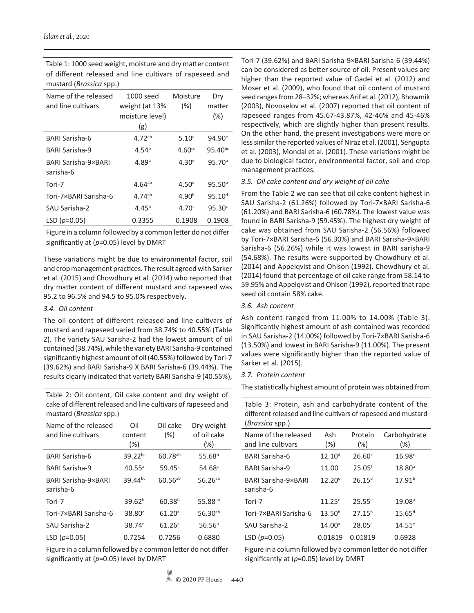Name of the released and line cultivars 1000 seed weight (at 13% moisture level) (g) Moisture (%) Dry matter (%) BARI Sarisha-6 4.72<sup>ab</sup> 5.10<sup>a</sup> 94.90<sup>e</sup> BARI Sarisha-9 4.54b 4.60cd 95.40bc BARI Sarisha-9×BARI sarisha-6 4.89<sup>a</sup> 4.30<sup>e</sup> 95.70<sup>a</sup> Tori-7  $4.64^{ab}$   $4.50^d$   $95.50^b$ Tori-7×BARI Sarisha-6  $4.74^{ab}$   $4.90^{b}$   $95.10^{d}$ SAU Sarisha-2  $4.45<sup>b</sup>$   $4.70<sup>c</sup>$   $95.30<sup>c</sup>$ LSD (*p*=0.05) 0.3355 0.1908 0.1908

Table 1: 1000 seed weight, moisture and dry matter content of different released and line cultivars of rapeseed and mustard (*Brassica* spp.)

Figure in a column followed by a common letter do not differ significantly at (*p*=0.05) level by DMRT

These variations might be due to environmental factor, soil and crop management practices. The result agreed with Sarker et al. (2015) and Chowdhury et al. (2014) who reported that dry matter content of different mustard and rapeseed was 95.2 to 96.5% and 94.5 to 95.0% respectively.

## *3.4. Oil content*

The oil content of different released and line cultivars of mustard and rapeseed varied from 38.74% to 40.55% (Table 2). The variety SAU Sarisha-2 had the lowest amount of oil contained (38.74%), while the variety BARI Sarisha-9 contained significantly highest amount of oil (40.55%) followed by Tori-7 (39.62%) and BARI Sarisha-9 X BARI Sarisha-6 (39.44%). The results clearly indicated that variety BARI Sarisha-9 (40.55%),

Table 2: Oil content, Oil cake content and dry weight of cake of different released and line cultivars of rapeseed and mustard (*Brassica* spp.)

| Name of the released<br>and line cultivars | Oil<br>content<br>(%) | Oil cake<br>(%)    | Dry weight<br>of oil cake<br>(%) |
|--------------------------------------------|-----------------------|--------------------|----------------------------------|
| BARI Sarisha-6                             | $39.22^{bc}$          | $60.78^{ab}$       | 55.68 <sup>b</sup>               |
| <b>BARI Sarisha-9</b>                      | $40.55^{\circ}$       | $59.45^{\circ}$    | $54.68^{\circ}$                  |
| BARI Sarisha-9×BARI<br>sarisha-6           | $39.44^{bc}$          | $60.56^{ab}$       | $56.26^{ab}$                     |
| Tori-7                                     | 39.62 <sup>b</sup>    | $60.38^{b}$        | 55.88 <sup>ab</sup>              |
| Tori-7×BARI Sarisha-6                      | 38.80 <sup>c</sup>    | 61.20 <sup>a</sup> | $56.30^{ab}$                     |
| SAU Sarisha-2                              | $38.74^{\circ}$       | $61.26^{\circ}$    | $56.56^{\circ}$                  |
| LSD $(p=0.05)$                             | 0.7254                | 0.7256             | 0.6880                           |

Figure in a column followed by a common letter do not differ significantly at (*p*=0.05) level by DMRT

Tori-7 (39.62%) and BARI Sarisha-9×BARI Sarisha-6 (39.44%) can be considered as better source of oil. Present values are higher than the reported value of Gadei et al. (2012) and Moser et al. (2009), who found that oil content of mustard seed ranges from 28–32%; whereas Arif et al. (2012), Bhowmik (2003), Novoselov et al. (2007) reported that oil content of rapeseed ranges from 45.67-43.87%, 42-46% and 45-46% respectively, which are slightly higher than present results. On the other hand, the present investigations were more or less similar the reported values of Niraz et al. (2001), Sengupta et al. (2003), Mondal et al. (2001). These variations might be due to biological factor, environmental factor, soil and crop management practices.

#### *3.5. Oil cake content and dry weight of oil cake*

From the Table 2 we can see that oil cake content highest in SAU Sarisha-2 (61.26%) followed by Tori-7×BARI Sarisha-6 (61.20%) and BARI Sarisha-6 (60.78%). The lowest value was found in BARI Sarisha-9 (59.45%). The highest dry weight of cake was obtained from SAU Sarisha-2 (56.56%) followed by Tori-7×BARI Sarisha-6 (56.30%) and BARI Sarisha-9×BARI Sarisha-6 (56.26%) while it was lowest in BARI sarisha-9 (54.68%). The results were supported by Chowdhury et al. (2014) and Appelqvist and Ohlson (1992). Chowdhury et al. (2014) found that percentage of oil cake range from 58.14 to 59.95% and Appelqvist and Ohlson (1992), reported that rape seed oil contain 58% cake.

#### *3.6. Ash content*

Ash content ranged from 11.00% to 14.00% (Table 3). Significantly highest amount of ash contained was recorded in SAU Sarisha-2 (14.00%) followed by Tori-7×BARI Sarisha-6 (13.50%) and lowest in BARI Sarisha-9 (11.00%). The present values were significantly higher than the reported value of Sarker et al*.* (2015).

## *3.7. Protein content*

The statistically highest amount of protein was obtained from

| Table 3: Protein, ash and carbohydrate content of the         |
|---------------------------------------------------------------|
| different released and line cultivars of rapeseed and mustard |
| <i>(Brassica spp.)</i>                                        |

| Name of the released<br>and line cultivars | Ash<br>$(\%)$      | Protein<br>$(\%)$    | Carbohydrate<br>$(\%)$ |
|--------------------------------------------|--------------------|----------------------|------------------------|
| BARI Sarisha-6                             | $12.10^{d}$        | 26.60c               | 16.98c                 |
| BARI Sarisha-9                             | 11.00 <sup>f</sup> | $25.05$ <sup>f</sup> | $18.80^{\circ}$        |
| <b>BARI Sarisha-9×BARI</b><br>sarisha-6    | 12.20 <sup>c</sup> | $26.15^{d}$          | $17.91^{b}$            |
| Tori-7                                     | $11.25^{\circ}$    | $25.55^{\circ}$      | 19.08 <sup>a</sup>     |
| Tori-7×BARI Sarisha-6                      | $13.50^{b}$        | $27.15^{b}$          | $15.65$ <sup>d</sup>   |
| SAU Sarisha-2                              | 14.00 <sup>a</sup> | $28.05^{\circ}$      | $14.51^e$              |
| LSD $(p=0.05)$                             | 0.01819            | 0.01819              | 0.6928                 |

Figure in a column followed by a common letter do not differ significantly at (*p*=0.05) level by DMRT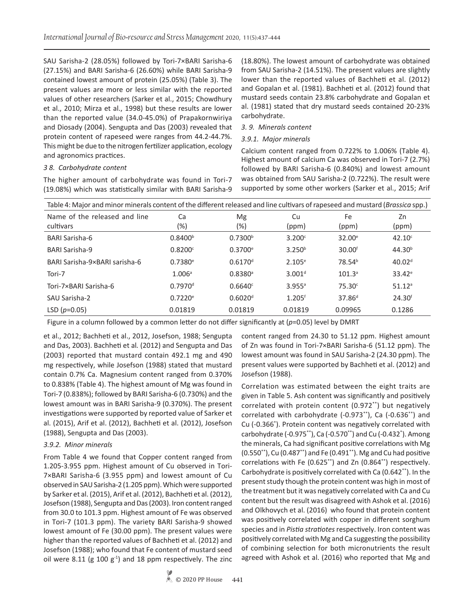SAU Sarisha-2 (28.05%) followed by Tori-7×BARI Sarisha-6 (27.15%) and BARI Sarisha-6 (26.60%) while BARI Sarisha-9 contained lowest amount of protein (25.05%) (Table 3). The present values are more or less similar with the reported values of other researchers (Sarker et al., 2015; Chowdhury et al., 2010; Mirza et al., 1998) but these results are lower than the reported value (34.0-45.0%) of Prapakornwiriya and Diosady (2004). Sengupta and Das (2003) revealed that protein content of rapeseed were ranges from 44.2-44.7%. This might be due to the nitrogen fertilizer application, ecology and agronomics practices.

## *3 8. Carbohydrate content*

The higher amount of carbohydrate was found in Tori-7 (19.08%) which was statistically similar with BARI Sarisha-9 (18.80%). The lowest amount of carbohydrate was obtained from SAU Sarisha-2 (14.51%). The present values are slightly lower than the reported values of Bachheti et al. (2012) and Gopalan et al. (1981). Bachheti et al. (2012) found that mustard seeds contain 23.8% carbohydrate and Gopalan et al. (1981) stated that dry mustard seeds contained 20-23% carbohydrate.

## *3. 9. Minerals content*

#### *3.9.1. Major minerals*

Calcium content ranged from 0.722% to 1.006% (Table 4). Highest amount of calcium Ca was observed in Tori-7 (2.7%) followed by BARI Sarisha-6 (0.840%) and lowest amount was obtained from SAU Sarisha-2 (0.722%). The result were supported by some other workers (Sarker et al., 2015; Arif

| Table 4: Major and minor minerals content of the different released and line cultivars of rapeseed and mustard (Brassica spp.) |                       |                       |                      |                    |                      |  |
|--------------------------------------------------------------------------------------------------------------------------------|-----------------------|-----------------------|----------------------|--------------------|----------------------|--|
| Name of the released and line<br>cultivars                                                                                     | Ca<br>(%)             | Mg<br>(%)             | Cu<br>(ppm)          | Fe<br>(ppm)        | Zn<br>(ppm)          |  |
| <b>BARI Sarisha-6</b>                                                                                                          | 0.8400 <sup>b</sup>   | 0.7300 <sup>b</sup>   | $3.200^{\circ}$      | $32.00^e$          | 42.10 <sup>c</sup>   |  |
| <b>BARI Sarisha-9</b>                                                                                                          | 0.8200c               | $0.3700^{\circ}$      | 3.250 <sup>b</sup>   | 30.00 <sup>f</sup> | 44.30 <sup>b</sup>   |  |
| BARI Sarisha-9×BARI sarisha-6                                                                                                  | 0.7380e               | $0.6170$ <sup>d</sup> | $2.105^{\circ}$      | 78.54 <sup>b</sup> | 40.02 <sup>d</sup>   |  |
| Tori-7                                                                                                                         | 1.006 <sup>a</sup>    | 0.8380a               | 3.001 <sup>d</sup>   | $101.3^{\circ}$    | $33.42^e$            |  |
| Tori-7×BARI Sarisha-6                                                                                                          | $0.7970$ <sup>d</sup> | 0.6640c               | $3.955$ <sup>a</sup> | $75.30^{\circ}$    | $51.12$ <sup>a</sup> |  |
| SAU Sarisha-2                                                                                                                  | 0.7220e               | 0.6020 <sup>d</sup>   | $1.205$ <sup>f</sup> | $37.86^{d}$        | 24.30 <sup>f</sup>   |  |
| LSD $(p=0.05)$                                                                                                                 | 0.01819               | 0.01819               | 0.01819              | 0.09965            | 0.1286               |  |

Figure in a column followed by a common letter do not differ significantly at (*p*=0.05) level by DMRT

et al., 2012; Bachheti et al., 2012, Josefson, 1988; Sengupta and Das, 2003). Bachheti et al*.* (2012) and Sengupta and Das (2003) reported that mustard contain 492.1 mg and 490 mg respectively, while Josefson (1988) stated that mustard contain 0.7% Ca. Magnesium content ranged from 0.370% to 0.838% (Table 4). The highest amount of Mg was found in Tori-7 (0.838%); followed by BARI Sarisha-6 (0.730%) and the lowest amount was in BARI Sarisha-9 (0.370%). The present investigations were supported by reported value of Sarker et al. (2015), Arif et al. (2012), Bachheti et al. (2012), Josefson (1988), Sengupta and Das (2003).

## *3.9.2. Minor minerals*

From Table 4 we found that Copper content ranged from 1.205-3.955 ppm. Highest amount of Cu observed in Tori-7×BARI Sarisha-6 (3.955 ppm) and lowest amount of Cu observed in SAU Sarisha-2 (1.205 ppm). Which were supported by Sarker et al. (2015), Arif et al. (2012), Bachheti et al. (2012), Josefson (1988), Sengupta and Das (2003). Iron content ranged from 30.0 to 101.3 ppm. Highest amount of Fe was observed in Tori-7 (101.3 ppm). The variety BARI Sarisha-9 showed lowest amount of Fe (30.00 ppm). The present values were higher than the reported values of Bachheti et al. (2012) and Josefson (1988); who found that Fe content of mustard seed oil were 8.11 (g 100  $g^{-1}$ ) and 18 ppm respectively. The zinc

content ranged from 24.30 to 51.12 ppm. Highest amount of Zn was found in Tori-7×BARI Sarisha-6 (51.12 ppm). The lowest amount was found in SAU Sarisha-2 (24.30 ppm). The present values were supported by Bachheti et al. (2012) and Josefson (1988).

Correlation was estimated between the eight traits are given in Table 5. Ash content was significantly and positively correlated with protein content (0.972\*\*) but negatively correlated with carbohydrate (-0.973\*\*), Ca (-0.636\*\*) and Cu (-0.366\* ). Protein content was negatively correlated with carbohydrate (-0.975\*\*), Ca (-0.570\*\*) and Cu (-0.432\* ). Among the minerals, Ca had significant positive correlations with Mg (0.550\*\*), Cu (0.487\*\*) and Fe (0.491\*\*). Mg and Cu had positive correlations with Fe (0.625\*\*) and Zn (0.864\*\*) respectively. Carbohydrate is positively correlated with Ca (0.642\*\*). In the present study though the protein content was high in most of the treatment but it was negatively correlated with Ca and Cu content but the result was disagreed with Ashok et al. (2016) and Olkhovych et al. (2016) who found that protein content was positively correlated with copper in different sorghum species and in *Pistia stratiotes* respectively. Iron content was positively correlated with Mg and Ca suggesting the possibility of combining selection for both micronutrients the result agreed with Ashok et al. (2016) who reported that Mg and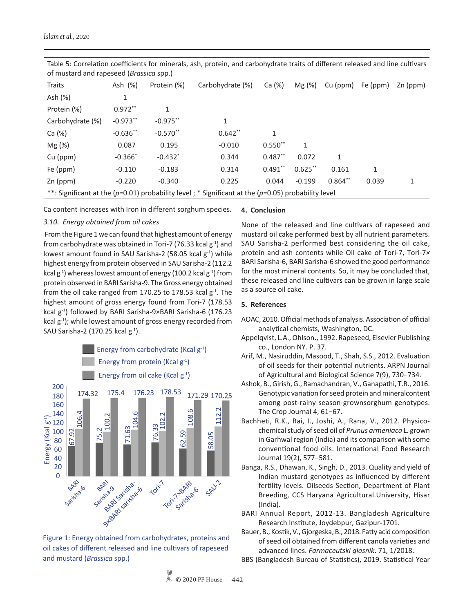| Traits                                                                                                     | Ash (%)    | Protein (%) | Carbohydrate (%) | Ca (%)    | Mg(%)      | Cu (ppm)   | Fe (ppm) | Zn (ppm) |
|------------------------------------------------------------------------------------------------------------|------------|-------------|------------------|-----------|------------|------------|----------|----------|
| Ash (%)                                                                                                    | 1          |             |                  |           |            |            |          |          |
| Protein (%)                                                                                                | $0.972**$  |             |                  |           |            |            |          |          |
| Carbohydrate (%)                                                                                           | $-0.973**$ | $-0.975**$  | 1                |           |            |            |          |          |
| Ca (%)                                                                                                     | $-0.636**$ | $-0.570**$  | $0.642**$        | 1         |            |            |          |          |
| Mg (%)                                                                                                     | 0.087      | 0.195       | $-0.010$         | $0.550**$ | 1          |            |          |          |
| $Cu$ (ppm)                                                                                                 | $-0.366*$  | $-0.432*$   | 0.344            | $0.487**$ | 0.072      | 1          |          |          |
| Fe (ppm)                                                                                                   | $-0.110$   | $-0.183$    | 0.314            | $0.491**$ | $0.625$ ** | 0.161      | 1        |          |
| Zn (ppm)                                                                                                   | $-0.220$   | $-0.340$    | 0.225            | 0.044     | $-0.199$   | $0.864$ ** | 0.039    | 1        |
| **: Significant at the ( $p=0.01$ ) probability level; * Significant at the ( $p=0.05$ ) probability level |            |             |                  |           |            |            |          |          |

Table 5: Correlation coefficients for minerals, ash, protein, and carbohydrate traits of different released and line cultivars of mustard and rapeseed (*Brassica* spp.)

Ca content increases with Iron in different sorghum species.

## *3.10. Energy obtained from oil cakes*

 From the Figure 1 we can found that highest amount of energy from carbohydrate was obtained in Tori-7 (76.33 kcal  $g^{-1}$ ) and lowest amount found in SAU Sarisha-2 (58.05 kcal  $g^{-1}$ ) while highest energy from protein observed in SAU Sarisha-2 (112.2 kcal  $g^{-1}$ ) whereas lowest amount of energy (100.2 kcal  $g^{-1}$ ) from protein observed in BARI Sarisha-9. The Gross energy obtained from the oil cake ranged from 170.25 to 178.53 kcal  $g^{-1}$ . The highest amount of gross energy found from Tori-7 (178.53 kcal g<sup>-1</sup>) followed by BARI Sarisha-9×BARI Sarisha-6 (176.23 kcal  $g^{-1}$ ); while lowest amount of gross energy recorded from SAU Sarisha-2 (170.25 kcal  $g^{-1}$ ).





#### **4. Conclusion**

None of the released and line cultivars of rapeseed and mustard oil cake performed best by all nutrient parameters. SAU Sarisha-2 performed best considering the oil cake, protein and ash contents while Oil cake of Tori-7, Tori-7*×* BARI Sarisha-6, BARI Sarisha-6 showed the good performance for the most mineral contents. So, it may be concluded that, these released and line cultivars can be grown in large scale as a source oil cake.

## **5. References**

- AOAC, 2010. Official methods of analysis. Association of official analytical chemists, Washington, DC.
- Appelqvist, L.A., Ohlson., 1992. Rapeseed, Elsevier Publishing co., London NY. P. 37.
- Arif, M., Nasiruddin, Masood, T., Shah, S.S., 2012. Evaluation of oil seeds for their potential nutrients. ARPN Journal of Agricultural and Biological Science 7(9), 730−734.
- Ashok, B., Girish, G., Ramachandran, V., Ganapathi, T.R., 2016. Genotypic variation for seed protein and mineralcontent among post-rainy season-grownsorghum genotypes. The Crop Journal 4, 61−67.
- Bachheti, R.K., Rai, I., Joshi, A., Rana, V., 2012. Physicochemical study of seed oil of *Prunus armeniaca* L. grown in Garhwal region (India) and its comparison with some conventional food oils. International Food Research Journal 19(2), 577−581.
- Banga, R.S., Dhawan, K., Singh, D., 2013. Quality and yield of Indian mustard genotypes as influenced by different fertility levels. Oilseeds Section, Department of Plant Breeding, CCS Haryana Agricultural.University, Hisar (India).
- BARI Annual Report, 2012-13. Bangladesh Agriculture Research Institute, Joydebpur, Gazipur-1701.
- Bauer, B., Kostik, V., Gjorgeska, B., 2018. Fatty acid composition of seed oil obtained from different canola varieties and advanced lines. *Farmaceutski glasnik*. 71, 1/2018.
- BBS (Bangladesh Bureau of Statistics), 2019. Statistical Year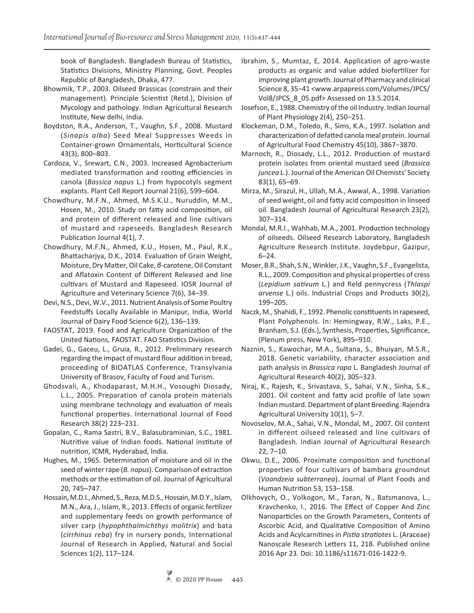book of Bangladesh. Bangladesh Bureau of Statistics, Statistics Divisions, Ministry Planning, Govt. Peoples Republic of Bangladesh, Dhaka, 477.

- Bhowmik, T.P., 2003. Oilseed Brassicas (constrain and their management). Principle Scientist (Retd.), Division of Mycology and pathology. Indian Agricultural Research Institute, New delhi, India.
- Boydston, R.A., Anderson, T., Vaughn, S.F., 2008. Mustard (*Sinapis alba*) Seed Meal Suppresses Weeds in Container-grown Ornamentals, Horticultural Science 43(3), 800–803.
- Cardoza, V., Srewart, C.N., 2003. Increased Agrobacterium mediated transformation and rooting efficiencies in canola (*Bassica napus* L.) from hypocotyls segment explants. Plant Cell Report Journal 21(6), 599–604.
- Chowdhury, M.F.N., Ahmed, M.S.K.U., Nuruddin, M.M., Hosen, M., 2010. Study on fatty acid composition, oil and protein of different released and line cultivars of mustard and rapeseeds. Bangladesh Research Publication Journal 4(1), 7.
- Chowdhury, M.F.N., Ahmed, K.U., Hosen, M., Paul, R.K., Bhattacharjya, D.K., 2014. Evaluation of Grain Weight, Moisture, Dry Matter, Oil Cake, *β*-carotene, Oil Constant and Aflatoxin Content of Different Released and line cultivars of Mustard and Rapeseed. IOSR Journal of Agriculture and Veterinary Science 7(6), 34–39.
- Devi, N.S., Devi, W.V., 2011. Nutrient Analysis of Some Poultry Feedstuffs Locally Available in Manipur, India, World Journal of Dairy Food Science 6(2), 136–139.
- FAOSTAT, 2019. Food and Agriculture Organization of the United Nations, FAOSTAT. FAO Statistics Division.
- Gadei, G., Gaceu, L., Gruia, R., 2012. Preliminary research regarding the impact of mustard flour addition in bread, proceeding of BIOATLAS Conference, Transylvania University of Brasov, Faculty of Food and Turism.
- Ghodsvali, A., Khodaparast, M.H.H., Vosoughi Diosady, L.L., 2005. Preparation of canola protein materials using membrane technology and evaluation of meals functional properties. International Journal of Food Research 38(2) 223–231.
- Gopalan, C., Rama Sastri, B.V., Balasubraminian, S.C., 1981. Nutritive value of Indian foods. National institute of nutrition, ICMR, Hyderabad, India.
- Hughes, M., 1965. Determination of moisture and oil in the seed of winter rape (*B. napus*). Comparison of extraction methods or the estimation of oil. Journal of Agricultural 20, 745–747.
- Hossain, M.D.I., Ahmed, S., Reza, M.D.S., Hossain, M.D.Y., Islam, M.N., Ara, J., Islam, R., 2013. Effects of organic fertilizer and supplementary feeds on growth performance of silver carp (*hypophthalmichthys molitrix*) and bata (*cirrhinus reba*) fry in nursery ponds, International Journal of Research in Applied, Natural and Social Sciences 1(2), 117–124.
- Ibrahim, S., Mumtaz, E, 2014. Application of agro-waste products as organic and value added biofertilizer for improving plant growth. Journal of Pharmacy and clinical Science 8, 35−41 <www.arpapress.com/Volumes/JPCS/ Vol8/JPCS\_8\_05.pdf> Assessed on 13.5.2014.
- Josefson, E., 1988. Chemistry of the oil Industry. Indian Journal of Plant Physiology 2(4), 250−251.
- Klockeman, D.M., Toledo, R., Sims, K.A., 1997. Isolation and characterization of defatted canola meal protein. Journal of Agricultural Food Chemistry 45(10), 3867−3870.
- Marnoch, R., Diosady, L.L., 2012. Production of mustard protein isolates from oriental mustard seed (*Brassica juncea* L.). Journal of the American Oil Chemists' Society 83(1), 65–69.
- Mirza, M., Sirazul, H., Ullah, M.A., Awwal, A., 1998. Variation of seed weight, oil and fatty acid composition in linseed oil. Bangladesh Journal of Agricultural Research 23(2), 307–314.
- Mondal, M.R.I., Wahhab, M.A., 2001. Production technology of oilseeds. Oilseed Research Laboratory, Bangladesh Agriculture Research Institute. Joydebpur, Gazipur, 6–24.
- Moser, B.R., Shah, S.N., Winkler, J.K., Vaughn, S.F., Evangelista, R.L., 2009. Composition and physical properties of cress (*Lepidium sativum* L.) and field pennycress (*Thlaspi arvense* L.) oils. Industrial Crops and Products 30(2), 199–205.
- Naczk, M., Shahidi, F., 1992. Phenolic constituents in rapeseed, Plant Polyphenols. In: Hemingway, R.W., Laks, P.E., Branham, S.J. (Eds.), Synthesis, Properties, Significance, (Plenum press, New York), 895–910.
- Naznin, S., Kawochar, M.A., Sultana, S., Bhuiyan, M.S.R., 2018. Genetic variability, character association and path analysis in *Brassica rapa* L. Bangladesh Journal of Agricultural Research 40(2), 305–323.
- Niraj, K., Rajesh, K., Srivastava, S., Sahai, V.N., Sinha, S.K., 2001. Oil content and fatty acid profile of late sown Indian mustard. Department of plant Breeding. Rajendra Agricultural University 10(1), 5–7.
- Novoselov, M.A., Sahai, V.N., Mondal, M., 2007. Oil content in different oilseed released and line cultivars of Bangladesh*.* Indian Journal of Agricultural Research 22, 7–10.
- Okwu, D.E., 2006. Proximate composition and functional properties of four cultivars of bambara groundnut (*Voandzeia subterranea*). Journal of Plant Foods and Human Nutrition 53, 153–158.
- Olkhovych, O., Volkogon, M., Taran, N., Batsmanova, L., Kravchenko, I., 2016. The Effect of Copper And Zinc Nanoparticles on the Growth Parameters, Contents of Ascorbic Acid, and Qualitative Composition of Amino Acids and Acylcarnitines in *Pistia stratiotes* L. (Araceae) Nanoscale Research Letters 11, 218. Published online 2016 Apr 23. Doi: 10.1186/s11671-016-1422-9.